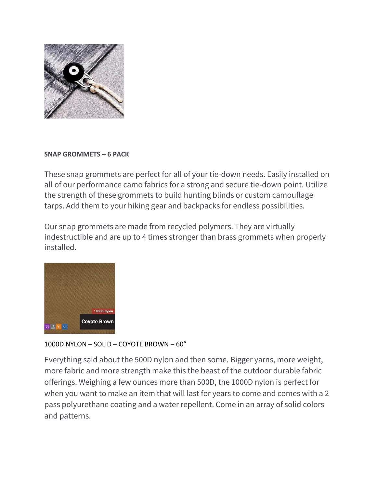

## **SNAP GROMMETS – 6 PACK**

These snap grommets are perfect for all of your tie-down needs. Easily installed on all of our performance camo fabrics for a strong and secure tie-down point. Utilize the strength of these grommets to build hunting blinds or custom camouflage tarps. Add them to your hiking gear and backpacks for endless possibilities.

Our snap grommets are made from recycled polymers. They are virtually indestructible and are up to 4 times stronger than brass grommets when properly installed.



# 1000D NYLON – SOLID – COYOTE BROWN – 60"

Everything said about the 500D nylon and then some. Bigger yarns, more weight, more fabric and more strength make this the beast of the outdoor durable fabric offerings. Weighing a few ounces more than 500D, the 1000D nylon is perfect for when you want to make an item that will last for years to come and comes with a 2 pass polyurethane coating and a water repellent. Come in an array of solid colors and patterns.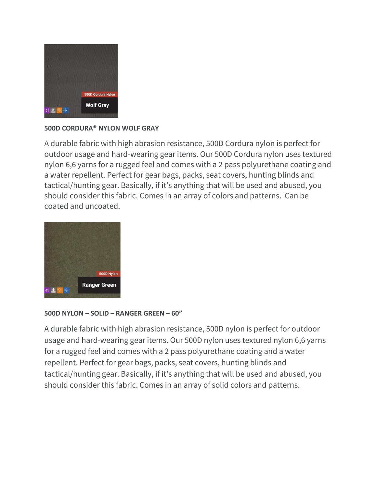

# **500D CORDURA® NYLON WOLF GRAY**

A durable fabric with high abrasion resistance, 500D Cordura nylon is perfect for outdoor usage and hard-wearing gear items. Our 500D Cordura nylon uses textured nylon 6,6 yarns for a rugged feel and comes with a 2 pass polyurethane coating and a water repellent. Perfect for gear bags, packs, seat covers, hunting blinds and tactical/hunting gear. Basically, if it's anything that will be used and abused, you should consider this fabric. Comes in an array of colors and patterns. Can be coated and uncoated.



### **500D NYLON – SOLID – RANGER GREEN – 60"**

A durable fabric with high abrasion resistance, 500D nylon is perfect for outdoor usage and hard-wearing gear items. Our 500D nylon uses textured nylon 6,6 yarns for a rugged feel and comes with a 2 pass polyurethane coating and a water repellent. Perfect for gear bags, packs, seat covers, hunting blinds and tactical/hunting gear. Basically, if it's anything that will be used and abused, you should consider this fabric. Comes in an array of solid colors and patterns.